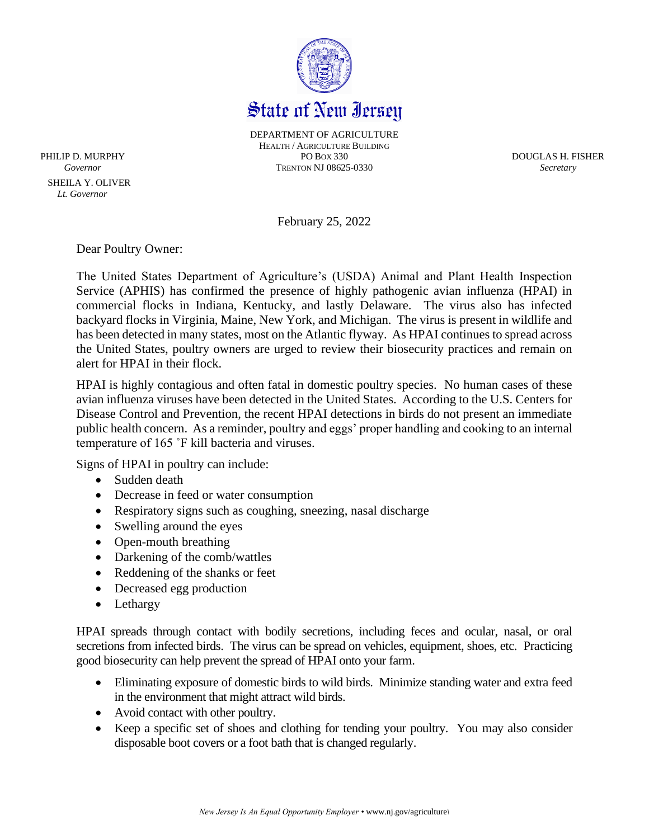

DEPARTMENT OF AGRICULTURE HEALTH / AGRICULTURE BUILDING PHILIP D. MURPHY PO BOX 330 DOUGLAS H. FISHER *Governor* TRENTON NJ 08625-0330 *Secretary*

February 25, 2022

Dear Poultry Owner:

 SHEILA Y. OLIVER  *Lt. Governor*

> The United States Department of Agriculture's (USDA) Animal and Plant Health Inspection Service (APHIS) has confirmed the presence of highly pathogenic avian influenza (HPAI) in commercial flocks in Indiana, Kentucky, and lastly Delaware. The virus also has infected backyard flocks in Virginia, Maine, New York, and Michigan. The virus is present in wildlife and has been detected in many states, most on the Atlantic flyway. As HPAI continues to spread across the United States, poultry owners are urged to review their biosecurity practices and remain on alert for HPAI in their flock.

> HPAI is highly contagious and often fatal in domestic poultry species. No human cases of these avian influenza viruses have been detected in the United States. According to the U.S. Centers for Disease Control and Prevention, the recent HPAI detections in birds do not present an immediate public health concern. As a reminder, poultry and eggs' proper handling and cooking to an internal temperature of 165 ˚F kill bacteria and viruses.

Signs of HPAI in poultry can include:

- Sudden death
- Decrease in feed or water consumption
- Respiratory signs such as coughing, sneezing, nasal discharge
- Swelling around the eyes
- Open-mouth breathing
- Darkening of the comb/wattles
- Reddening of the shanks or feet
- Decreased egg production
- Lethargy

HPAI spreads through contact with bodily secretions, including feces and ocular, nasal, or oral secretions from infected birds. The virus can be spread on vehicles, equipment, shoes, etc. Practicing good biosecurity can help prevent the spread of HPAI onto your farm.

- Eliminating exposure of domestic birds to wild birds. Minimize standing water and extra feed in the environment that might attract wild birds.
- Avoid contact with other poultry.
- Keep a specific set of shoes and clothing for tending your poultry. You may also consider disposable boot covers or a foot bath that is changed regularly.